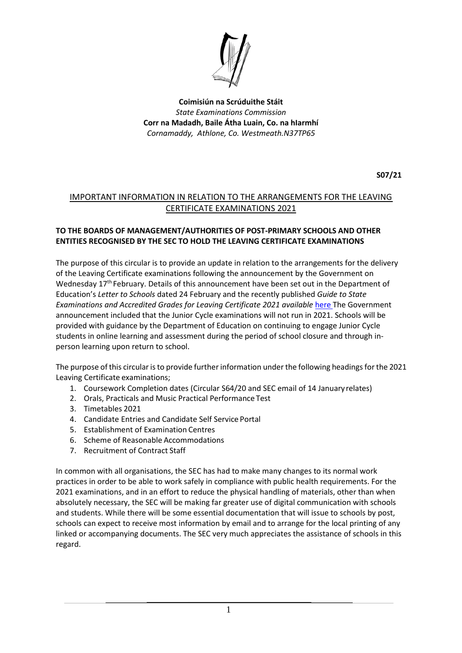

**Coimisiún na Scrúduithe Stáit** *State Examinations Commission* **Corr na Madadh, Baile Átha Luain, Co. na hIarmhí** *Cornamaddy, Athlone, Co. Westmeath.N37TP65*

**S07/21**

### IMPORTANT INFORMATION IN RELATION TO THE ARRANGEMENTS FOR THE LEAVING CERTIFICATE EXAMINATIONS 2021

#### **TO THE BOARDS OF MANAGEMENT/AUTHORITIES OF POST-PRIMARY SCHOOLS AND OTHER ENTITIES RECOGNISED BY THE SEC TO HOLD THE LEAVING CERTIFICATE EXAMINATIONS**

The purpose of this circular is to provide an update in relation to the arrangements for the delivery of the Leaving Certificate examinations following the announcement by the Government on Wednesday 17<sup>th</sup> February. Details of this announcement have been set out in the Department of Education's *Letter to Schools* dated 24 February and the recently published *Guide to State Examinations and Accredited Grades for Leaving Certificate 2021 available here The Government* announcement included that the Junior Cycle examinations will not run in 2021. Schools will be provided with guidance by the Department of Education on continuing to engage Junior Cycle students in online learning and assessment during the period of school closure and through inperson learning upon return to school.

The purpose of this circular is to provide further information under the following headings for the 2021 Leaving Certificate examinations;

- 1. Coursework Completion dates (Circular S64/20 and SEC email of 14 January relates)
- 2. Orals, Practicals and Music Practical Performance Test
- 3. Timetables 2021
- 4. Candidate Entries and Candidate Self Service Portal
- 5. Establishment of Examination Centres
- 6. Scheme of Reasonable Accommodations
- 7. Recruitment of Contract Staff

In common with all organisations, the SEC has had to make many changes to its normal work practices in order to be able to work safely in compliance with public health requirements. For the 2021 examinations, and in an effort to reduce the physical handling of materials, other than when absolutely necessary, the SEC will be making far greater use of digital communication with schools and students. While there will be some essential documentation that will issue to schools by post, schools can expect to receive most information by email and to arrange for the local printing of any linked or accompanying documents. The SEC very much appreciates the assistance of schools in this regard.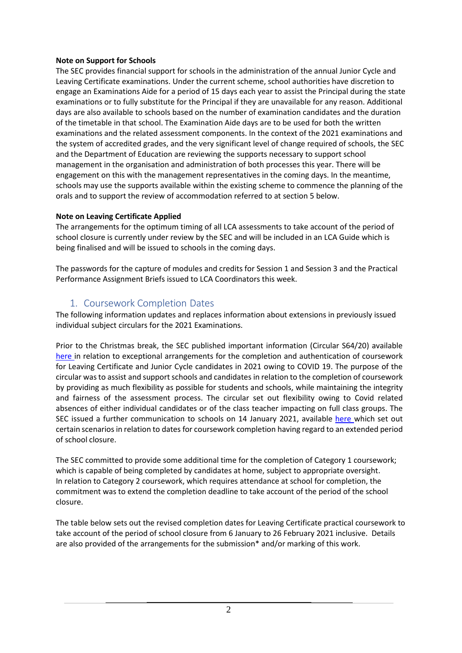### **Note on Support for Schools**

The SEC provides financial support for schools in the administration of the annual Junior Cycle and Leaving Certificate examinations. Under the current scheme, school authorities have discretion to engage an Examinations Aide for a period of 15 days each year to assist the Principal during the state examinations or to fully substitute for the Principal if they are unavailable for any reason. Additional days are also available to schools based on the number of examination candidates and the duration of the timetable in that school. The Examination Aide days are to be used for both the written examinations and the related assessment components. In the context of the 2021 examinations and the system of accredited grades, and the very significant level of change required of schools, the SEC and the Department of Education are reviewing the supports necessary to support school management in the organisation and administration of both processes this year. There will be engagement on this with the management representatives in the coming days. In the meantime, schools may use the supports available within the existing scheme to commence the planning of the orals and to support the review of accommodation referred to at section 5 below.

## **Note on Leaving Certificate Applied**

The arrangements for the optimum timing of all LCA assessments to take account of the period of school closure is currently under review by the SEC and will be included in an LCA Guide which is being finalised and will be issued to schools in the coming days.

The passwords for the capture of modules and credits for Session 1 and Session 3 and the Practical Performance Assignment Briefs issued to LCA Coordinators this week.

## 1. Coursework Completion Dates

The following information updates and replaces information about extensions in previously issued individual subject circulars for the 2021 Examinations.

Prior to the Christmas break, the SEC published important information (Circular S64/20) available [here i](https://www.examinations.ie/misc-doc/BI-EX-12232019.pdf)n relation to exceptional arrangements for the completion and authentication of coursework for Leaving Certificate and Junior Cycle candidates in 2021 owing to COVID 19. The purpose of the circular wasto assist and support schools and candidates in relation to the completion of coursework by providing as much flexibility as possible for students and schools, while maintaining the integrity and fairness of the assessment process. The circular set out flexibility owing to Covid related absences of either individual candidates or of the class teacher impacting on full class groups. The SEC issued a further communication to schools on 14 January 2021, available [here w](https://www.examinations.ie/misc-doc/EN-EX-28452125.pdf)hich set out certain scenarios in relation to dates for coursework completion having regard to an extended period of school closure.

The SEC committed to provide some additional time for the completion of Category 1 coursework; which is capable of being completed by candidates at home, subject to appropriate oversight. In relation to Category 2 coursework, which requires attendance at school for completion, the commitment was to extend the completion deadline to take account of the period of the school closure.

The table below sets out the revised completion dates for Leaving Certificate practical coursework to take account of the period of school closure from 6 January to 26 February 2021 inclusive. Details are also provided of the arrangements for the submission\* and/or marking of this work.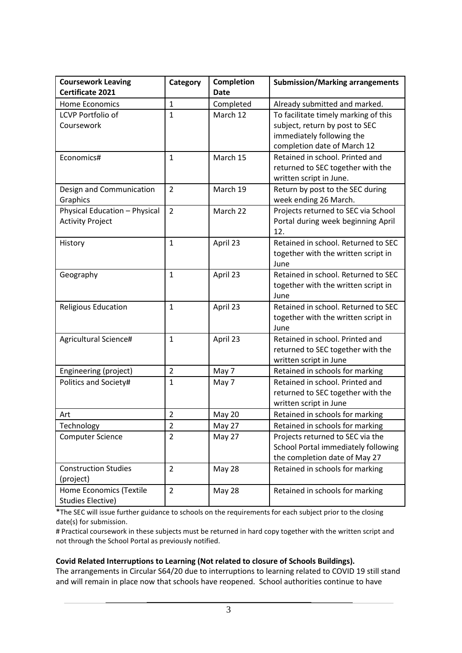| <b>Coursework Leaving</b>                                | Category       | Completion    | <b>Submission/Marking arrangements</b>                                                                                             |
|----------------------------------------------------------|----------------|---------------|------------------------------------------------------------------------------------------------------------------------------------|
| Certificate 2021                                         |                | <b>Date</b>   |                                                                                                                                    |
| <b>Home Economics</b>                                    | $\mathbf{1}$   | Completed     | Already submitted and marked.                                                                                                      |
| <b>LCVP Portfolio of</b><br>Coursework                   | $\mathbf{1}$   | March 12      | To facilitate timely marking of this<br>subject, return by post to SEC<br>immediately following the<br>completion date of March 12 |
| Economics#                                               | $\mathbf{1}$   | March 15      | Retained in school. Printed and<br>returned to SEC together with the<br>written script in June.                                    |
| Design and Communication<br>Graphics                     | 2              | March 19      | Return by post to the SEC during<br>week ending 26 March.                                                                          |
| Physical Education - Physical<br><b>Activity Project</b> | $\overline{2}$ | March 22      | Projects returned to SEC via School<br>Portal during week beginning April<br>12.                                                   |
| History                                                  | $\mathbf{1}$   | April 23      | Retained in school. Returned to SEC<br>together with the written script in<br>June                                                 |
| Geography                                                | $\mathbf{1}$   | April 23      | Retained in school. Returned to SEC<br>together with the written script in<br>June                                                 |
| <b>Religious Education</b>                               | $\mathbf{1}$   | April 23      | Retained in school. Returned to SEC<br>together with the written script in<br>June                                                 |
| Agricultural Science#                                    | $\mathbf{1}$   | April 23      | Retained in school. Printed and<br>returned to SEC together with the<br>written script in June                                     |
| Engineering (project)                                    | $\overline{2}$ | May 7         | Retained in schools for marking                                                                                                    |
| Politics and Society#                                    | $\mathbf{1}$   | May 7         | Retained in school. Printed and<br>returned to SEC together with the<br>written script in June                                     |
| Art                                                      | $\overline{2}$ | May 20        | Retained in schools for marking                                                                                                    |
| Technology                                               | 2              | <b>May 27</b> | Retained in schools for marking                                                                                                    |
| <b>Computer Science</b>                                  | $\overline{2}$ | May 27        | Projects returned to SEC via the<br>School Portal immediately following<br>the completion date of May 27                           |
| <b>Construction Studies</b><br>(project)                 | $\overline{2}$ | <b>May 28</b> | Retained in schools for marking                                                                                                    |
| Home Economics (Textile<br><b>Studies Elective)</b>      | $\overline{2}$ | <b>May 28</b> | Retained in schools for marking                                                                                                    |

\*The SEC will issue further guidance to schools on the requirements for each subject prior to the closing date(s) for submission.

# Practical coursework in these subjects must be returned in hard copy together with the written script and not through the School Portal as previously notified.

#### **Covid Related Interruptions to Learning (Not related to closure of Schools Buildings).**

The arrangements in Circular S64/20 due to interruptions to learning related to COVID 19 still stand and will remain in place now that schools have reopened. School authorities continue to have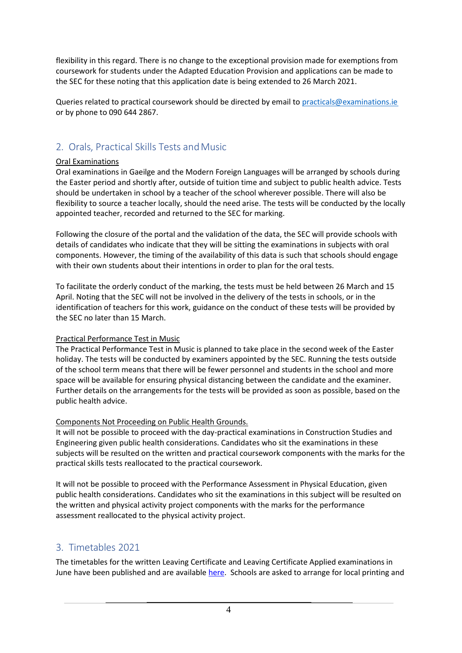flexibility in this regard. There is no change to the exceptional provision made for exemptions from coursework for students under the Adapted Education Provision and applications can be made to the SEC for these noting that this application date is being extended to 26 March 2021.

Queries related to practical coursework should be directed by email to [practicals@examinations.ie](mailto:practicals@examinations.ie) or by phone to 090 644 2867.

# 2. Orals, Practical Skills Tests and Music

### Oral Examinations

Oral examinations in Gaeilge and the Modern Foreign Languages will be arranged by schools during the Easter period and shortly after, outside of tuition time and subject to public health advice. Tests should be undertaken in school by a teacher of the school wherever possible. There will also be flexibility to source a teacher locally, should the need arise. The tests will be conducted by the locally appointed teacher, recorded and returned to the SEC for marking.

Following the closure of the portal and the validation of the data, the SEC will provide schools with details of candidates who indicate that they will be sitting the examinations in subjects with oral components. However, the timing of the availability of this data is such that schools should engage with their own students about their intentions in order to plan for the oral tests.

To facilitate the orderly conduct of the marking, the tests must be held between 26 March and 15 April. Noting that the SEC will not be involved in the delivery of the tests in schools, or in the identification of teachers for this work, guidance on the conduct of these tests will be provided by the SEC no later than 15 March.

## Practical Performance Test in Music

The Practical Performance Test in Music is planned to take place in the second week of the Easter holiday. The tests will be conducted by examiners appointed by the SEC. Running the tests outside of the school term means that there will be fewer personnel and students in the school and more space will be available for ensuring physical distancing between the candidate and the examiner. Further details on the arrangements for the tests will be provided as soon as possible, based on the public health advice.

## Components Not Proceeding on Public Health Grounds.

It will not be possible to proceed with the day-practical examinations in Construction Studies and Engineering given public health considerations. Candidates who sit the examinations in these subjects will be resulted on the written and practical coursework components with the marks for the practical skills tests reallocated to the practical coursework.

It will not be possible to proceed with the Performance Assessment in Physical Education, given public health considerations. Candidates who sit the examinations in this subject will be resulted on the written and physical activity project components with the marks for the performance assessment reallocated to the physical activity project.

# 3. Timetables 2021

The timetables for the written Leaving Certificate and Leaving Certificate Applied examinations in June have been published and are availabl[e here.](https://www.examinations.ie/?l=en&mc=ex&sc=tt) Schools are asked to arrange for local printing and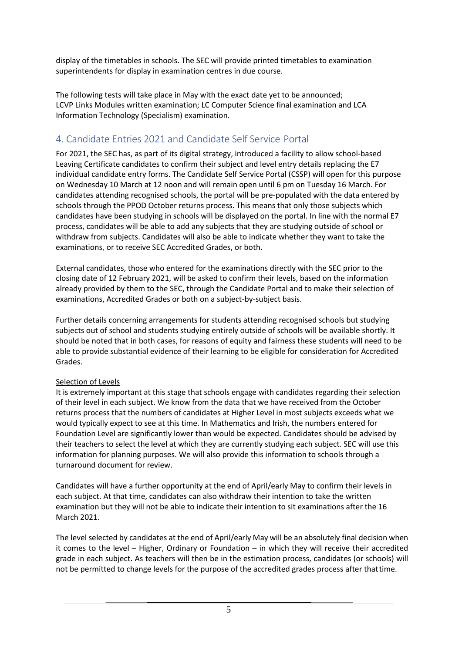display of the timetables in schools. The SEC will provide printed timetables to examination superintendents for display in examination centres in due course.

The following tests will take place in May with the exact date yet to be announced; LCVP Links Modules written examination; LC Computer Science final examination and LCA Information Technology (Specialism) examination.

# 4. Candidate Entries 2021 and Candidate Self Service Portal

For 2021, the SEC has, as part of its digital strategy, introduced a facility to allow school-based Leaving Certificate candidates to confirm their subject and level entry details replacing the E7 individual candidate entry forms. The Candidate Self Service Portal (CSSP) will open for this purpose on Wednesday 10 March at 12 noon and will remain open until 6 pm on Tuesday 16 March. For candidates attending recognised schools, the portal will be pre-populated with the data entered by schools through the PPOD October returns process. This means that only those subjects which candidates have been studying in schools will be displayed on the portal. In line with the normal E7 process, candidates will be able to add any subjects that they are studying outside of school or withdraw from subjects. Candidates will also be able to indicate whether they want to take the examinations, or to receive SEC Accredited Grades, or both.

External candidates, those who entered for the examinations directly with the SEC prior to the closing date of 12 February 2021, will be asked to confirm their levels, based on the information already provided by them to the SEC, through the Candidate Portal and to make their selection of examinations, Accredited Grades or both on a subject-by-subject basis.

Further details concerning arrangements for students attending recognised schools but studying subjects out of school and students studying entirely outside of schools will be available shortly. It should be noted that in both cases, for reasons of equity and fairness these students will need to be able to provide substantial evidence of their learning to be eligible for consideration for Accredited Grades.

## Selection of Levels

It is extremely important at this stage that schools engage with candidates regarding their selection of their level in each subject. We know from the data that we have received from the October returns process that the numbers of candidates at Higher Level in most subjects exceeds what we would typically expect to see at this time. In Mathematics and Irish, the numbers entered for Foundation Level are significantly lower than would be expected. Candidates should be advised by their teachers to select the level at which they are currently studying each subject. SEC will use this information for planning purposes. We will also provide this information to schools through a turnaround document for review.

Candidates will have a further opportunity at the end of April/early May to confirm their levels in each subject. At that time, candidates can also withdraw their intention to take the written examination but they will not be able to indicate their intention to sit examinations after the 16 March 2021.

The level selected by candidates at the end of April/early May will be an absolutely final decision when it comes to the level – Higher, Ordinary or Foundation – in which they will receive their accredited grade in each subject. As teachers will then be in the estimation process, candidates (or schools) will not be permitted to change levels for the purpose of the accredited grades process after thattime.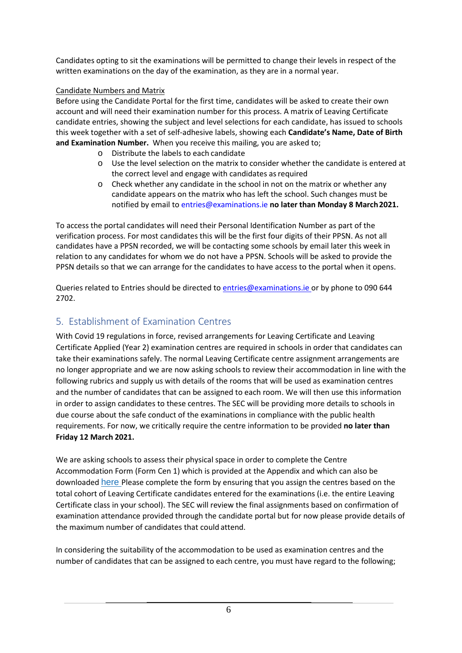Candidates opting to sit the examinations will be permitted to change their levels in respect of the written examinations on the day of the examination, as they are in a normal year.

## Candidate Numbers and Matrix

Before using the Candidate Portal for the first time, candidates will be asked to create their own account and will need their examination number for this process. A matrix of Leaving Certificate candidate entries, showing the subject and level selections for each candidate, has issued to schools this week together with a set of self-adhesive labels, showing each **Candidate's Name, Date of Birth and Examination Number.** When you receive this mailing, you are asked to;

- o Distribute the labels to each candidate
- o Use the level selection on the matrix to consider whether the candidate is entered at the correct level and engage with candidates as required
- o Check whether any candidate in the school in not on the matrix or whether any candidate appears on the matrix who has left the school. Such changes must be notified by email t[o entries@examinations.ie](mailto:entries@examinations.ie) **no later than Monday 8 March2021.**

To access the portal candidates will need their Personal Identification Number as part of the verification process. For most candidates this will be the first four digits of their PPSN. As not all candidates have a PPSN recorded, we will be contacting some schools by email later this week in relation to any candidates for whom we do not have a PPSN. Schools will be asked to provide the PPSN details so that we can arrange for the candidates to have access to the portal when it opens.

Queries related to Entries should be directed to [entries@examinations.ie o](mailto:entries@examinations.ie)r by phone to 090 644 2702.

# 5. Establishment of Examination Centres

With Covid 19 regulations in force, revised arrangements for Leaving Certificate and Leaving Certificate Applied (Year 2) examination centres are required in schools in order that candidates can take their examinations safely. The normal Leaving Certificate centre assignment arrangements are no longer appropriate and we are now asking schools to review their accommodation in line with the following rubrics and supply us with details of the rooms that will be used as examination centres and the number of candidates that can be assigned to each room. We will then use this information in order to assign candidates to these centres. The SEC will be providing more details to schools in due course about the safe conduct of the examinations in compliance with the public health requirements. For now, we critically require the centre information to be provided **no later than Friday 12 March 2021.**

We are asking schools to assess their physical space in order to complete the Centre Accommodation Form (Form Cen 1) which is provided at the Appendix and which can also be downloaded [here](https://www.examinations.ie/schools/EN-1014-85276598.pdf) Please complete the form by ensuring that you assign the centres based on the total cohort of Leaving Certificate candidates entered for the examinations (i.e. the entire Leaving Certificate class in your school). The SEC will review the final assignments based on confirmation of examination attendance provided through the candidate portal but for now please provide details of the maximum number of candidates that could attend.

In considering the suitability of the accommodation to be used as examination centres and the number of candidates that can be assigned to each centre, you must have regard to the following;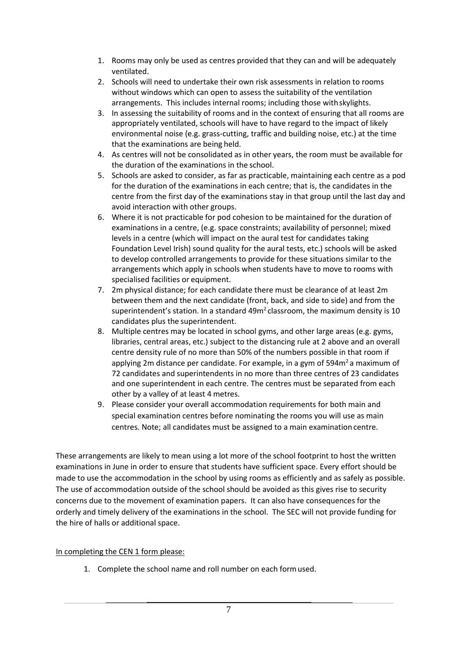- 1. Rooms may only be used as centres provided that they can and will be adequately ventilated.
- 2. Schools will need to undertake their own risk assessments in relation to rooms without windows which can open to assess the suitability of the ventilation arrangements. This includes internal rooms; including those withskylights.
- 3. In assessing the suitability of rooms and in the context of ensuring that all rooms are appropriately ventilated, schools will have to have regard to the impact of likely environmental noise (e.g. grass-cutting, traffic and building noise, etc.) at the time that the examinations are being held.
- 4. As centres will not be consolidated as in other years, the room must be available for the duration of the examinations in the school.
- 5. Schools are asked to consider, as far as practicable, maintaining each centre as a pod for the duration of the examinations in each centre; that is, the candidates in the centre from the first day of the examinations stay in that group until the last day and avoid interaction with other groups.
- 6. Where it is not practicable for pod cohesion to be maintained for the duration of examinations in a centre, (e.g. space constraints; availability of personnel; mixed levels in a centre (which will impact on the aural test for candidates taking Foundation Level Irish) sound quality for the aural tests, etc.) schools will be asked to develop controlled arrangements to provide for these situations similar to the arrangements which apply in schools when students have to move to rooms with specialised facilities or equipment.
- 7. 2m physical distance; for each candidate there must be clearance of at least 2m between them and the next candidate (front, back, and side to side) and from the superintendent's station. In a standard  $49m<sup>2</sup>$  classroom, the maximum density is 10 candidates plus the superintendent.
- 8. Multiple centres may be located in school gyms, and other large areas (e.g. gyms, libraries, central areas, etc.) subject to the distancing rule at 2 above and an overall centre density rule of no more than 50% of the numbers possible in that room if applying 2m distance per candidate. For example, in a gym of  $594m<sup>2</sup>$  a maximum of 72 candidates and superintendents in no more than three centres of 23 candidates and one superintendent in each centre. The centres must be separated from each other by a valley of at least 4 metres.
- 9. Please consider your overall accommodation requirements for both main and special examination centres before nominating the rooms you will use as main centres. Note; all candidates must be assigned to a main examination centre.

These arrangements are likely to mean using a lot more of the school footprint to host the written examinations in June in order to ensure that students have sufficient space. Every effort should be made to use the accommodation in the school by using rooms as efficiently and as safely as possible. The use of accommodation outside of the school should be avoided as this gives rise to security concerns due to the movement of examination papers. It can also have consequences for the orderly and timely delivery of the examinations in the school. The SEC will not provide funding for the hire of halls or additional space.

### In completing the CEN 1 form please:

1. Complete the school name and roll number on each formused.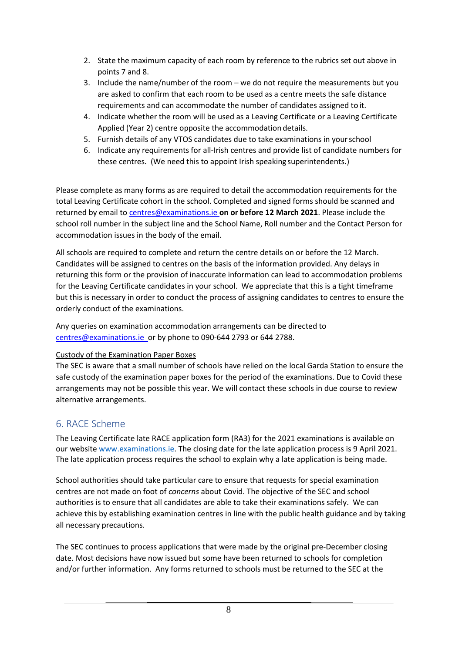- 2. State the maximum capacity of each room by reference to the rubrics set out above in points 7 and 8.
- 3. Include the name/number of the room we do not require the measurements but you are asked to confirm that each room to be used as a centre meets the safe distance requirements and can accommodate the number of candidates assigned to it.
- 4. Indicate whether the room will be used as a Leaving Certificate or a Leaving Certificate Applied (Year 2) centre opposite the accommodation details.
- 5. Furnish details of any VTOS candidates due to take examinations in yourschool
- 6. Indicate any requirements for all-Irish centres and provide list of candidate numbers for these centres. (We need this to appoint Irish speaking superintendents.)

Please complete as many forms as are required to detail the accommodation requirements for the total Leaving Certificate cohort in the school. Completed and signed forms should be scanned and returned by email t[o centres@examinations.ie](mailto:centres@examinations.ie) **on or before 12 March 2021**. Please include the school roll number in the subject line and the School Name, Roll number and the Contact Person for accommodation issues in the body of the email.

All schools are required to complete and return the centre details on or before the 12 March. Candidates will be assigned to centres on the basis of the information provided. Any delays in returning this form or the provision of inaccurate information can lead to accommodation problems for the Leaving Certificate candidates in your school. We appreciate that this is a tight timeframe but this is necessary in order to conduct the process of assigning candidates to centres to ensure the orderly conduct of the examinations.

Any queries on examination accommodation arrangements can be directed to [centres@examinations.ie](mailto:centres@examinations.ie) or by phone to 090-644 2793 or 644 2788.

## Custody of the Examination Paper Boxes

The SEC is aware that a small number of schools have relied on the local Garda Station to ensure the safe custody of the examination paper boxes for the period of the examinations. Due to Covid these arrangements may not be possible this year. We will contact these schools in due course to review alternative arrangements.

# 6. RACE Scheme

The Leaving Certificate late RACE application form (RA3) for the 2021 examinations is available on our websit[e www.examinations.ie.](http://www.examinations.ie/) The closing date for the late application process is 9 April 2021. The late application process requires the school to explain why a late application is being made.

School authorities should take particular care to ensure that requests for special examination centres are not made on foot of *concerns* about Covid. The objective of the SEC and school authorities is to ensure that all candidates are able to take their examinations safely. We can achieve this by establishing examination centres in line with the public health guidance and by taking all necessary precautions.

The SEC continues to process applications that were made by the original pre-December closing date. Most decisions have now issued but some have been returned to schools for completion and/or further information. Any forms returned to schools must be returned to the SEC at the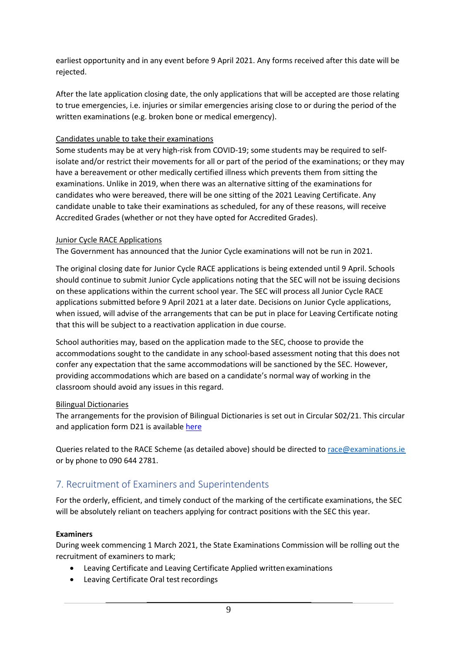earliest opportunity and in any event before 9 April 2021. Any forms received after this date will be rejected.

After the late application closing date, the only applications that will be accepted are those relating to true emergencies, i.e. injuries or similar emergencies arising close to or during the period of the written examinations (e.g. broken bone or medical emergency).

### Candidates unable to take their examinations

Some students may be at very high-risk from COVID-19; some students may be required to selfisolate and/or restrict their movements for all or part of the period of the examinations; or they may have a bereavement or other medically certified illness which prevents them from sitting the examinations. Unlike in 2019, when there was an alternative sitting of the examinations for candidates who were bereaved, there will be one sitting of the 2021 Leaving Certificate. Any candidate unable to take their examinations as scheduled, for any of these reasons, will receive Accredited Grades (whether or not they have opted for Accredited Grades).

### Junior Cycle RACE Applications

The Government has announced that the Junior Cycle examinations will not be run in 2021.

The original closing date for Junior Cycle RACE applications is being extended until 9 April. Schools should continue to submit Junior Cycle applications noting that the SEC will not be issuing decisions on these applications within the current school year. The SEC will process all Junior Cycle RACE applications submitted before 9 April 2021 at a later date. Decisions on Junior Cycle applications, when issued, will advise of the arrangements that can be put in place for Leaving Certificate noting that this will be subject to a reactivation application in due course.

School authorities may, based on the application made to the SEC, choose to provide the accommodations sought to the candidate in any school-based assessment noting that this does not confer any expectation that the same accommodations will be sanctioned by the SEC. However, providing accommodations which are based on a candidate's normal way of working in the classroom should avoid any issues in this regard.

### Bilingual Dictionaries

The arrangements for the provision of Bilingual Dictionaries is set out in Circular S02/21. This circular and application form D21 is availabl[e here](https://www.examinations.ie/?l=en&mc=ca&sc=ra)

Queries related to the RACE Scheme (as detailed above) should be directed to [race@examinations.ie](mailto:race@examinations.ie) or by phone to 090 644 2781.

## 7. Recruitment of Examiners and Superintendents

For the orderly, efficient, and timely conduct of the marking of the certificate examinations, the SEC will be absolutely reliant on teachers applying for contract positions with the SEC this year.

### **Examiners**

During week commencing 1 March 2021, the State Examinations Commission will be rolling out the recruitment of examiners to mark;

- Leaving Certificate and Leaving Certificate Applied written examinations
- Leaving Certificate Oral test recordings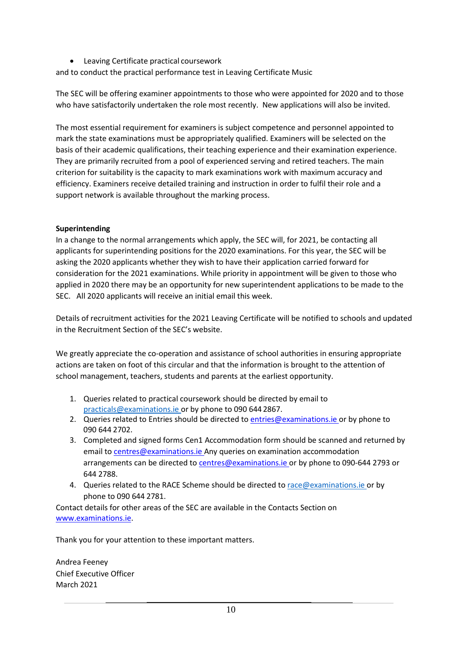• Leaving Certificate practical coursework

and to conduct the practical performance test in Leaving Certificate Music

The SEC will be offering examiner appointments to those who were appointed for 2020 and to those who have satisfactorily undertaken the role most recently. New applications will also be invited.

The most essential requirement for examiners is subject competence and personnel appointed to mark the state examinations must be appropriately qualified. Examiners will be selected on the basis of their academic qualifications, their teaching experience and their examination experience. They are primarily recruited from a pool of experienced serving and retired teachers. The main criterion for suitability is the capacity to mark examinations work with maximum accuracy and efficiency. Examiners receive detailed training and instruction in order to fulfil their role and a support network is available throughout the marking process.

### **Superintending**

In a change to the normal arrangements which apply, the SEC will, for 2021, be contacting all applicants for superintending positions for the 2020 examinations. For this year, the SEC will be asking the 2020 applicants whether they wish to have their application carried forward for consideration for the 2021 examinations. While priority in appointment will be given to those who applied in 2020 there may be an opportunity for new superintendent applications to be made to the SEC. All 2020 applicants will receive an initial email this week.

Details of recruitment activities for the 2021 Leaving Certificate will be notified to schools and updated in the Recruitment Section of the SEC's website.

We greatly appreciate the co-operation and assistance of school authorities in ensuring appropriate actions are taken on foot of this circular and that the information is brought to the attention of school management, teachers, students and parents at the earliest opportunity.

- 1. Queries related to practical coursework should be directed by email to [practicals@examinations.ie o](mailto:practicals@examinations.ie)r by phone to 090 644 2867.
- 2. Queries related to Entries should be directed t[o entries@examinations.ie o](mailto:entries@examinations.ie)r by phone to 090 644 2702.
- 3. Completed and signed forms Cen1 Accommodation form should be scanned and returned by email t[o centres@examinations.ie A](mailto:centres@examinations.ie)ny queries on examination accommodation arrangements can be directed to [centres@examinations.ie](mailto:centres@examinations.ie) or by phone to 090-644 2793 or 644 2788.
- 4. Queries related to the RACE Scheme should be directed t[o race@examinations.ie o](mailto:race@examinations.ie)r by phone to 090 644 2781.

Contact details for other areas of the SEC are available in the Contacts Section on [www.examinations.ie.](http://www.examinations.ie/)

Thank you for your attention to these important matters.

Andrea Feeney Chief Executive Officer March 2021